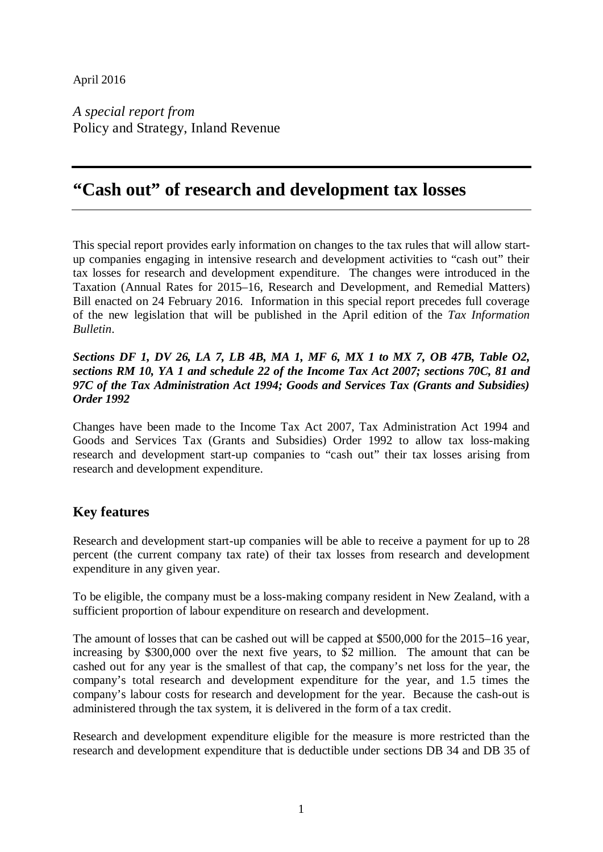## April 2016

*A special report from* Policy and Strategy, Inland Revenue

# **"Cash out" of research and development tax losses**

This special report provides early information on changes to the tax rules that will allow startup companies engaging in intensive research and development activities to "cash out" their tax losses for research and development expenditure. The changes were introduced in the Taxation (Annual Rates for 2015–16, Research and Development, and Remedial Matters) Bill enacted on 24 February 2016. Information in this special report precedes full coverage of the new legislation that will be published in the April edition of the *Tax Information Bulletin*.

## *Sections DF 1, DV 26, LA 7, LB 4B, MA 1, MF 6, MX 1 to MX 7, OB 47B, Table O2, sections RM 10, YA 1 and schedule 22 of the Income Tax Act 2007; sections 70C, 81 and 97C of the Tax Administration Act 1994; Goods and Services Tax (Grants and Subsidies) Order 1992*

Changes have been made to the Income Tax Act 2007, Tax Administration Act 1994 and Goods and Services Tax (Grants and Subsidies) Order 1992 to allow tax loss-making research and development start-up companies to "cash out" their tax losses arising from research and development expenditure.

## **Key features**

Research and development start-up companies will be able to receive a payment for up to 28 percent (the current company tax rate) of their tax losses from research and development expenditure in any given year.

To be eligible, the company must be a loss-making company resident in New Zealand, with a sufficient proportion of labour expenditure on research and development.

The amount of losses that can be cashed out will be capped at \$500,000 for the 2015–16 year, increasing by \$300,000 over the next five years, to \$2 million. The amount that can be cashed out for any year is the smallest of that cap, the company's net loss for the year, the company's total research and development expenditure for the year, and 1.5 times the company's labour costs for research and development for the year. Because the cash-out is administered through the tax system, it is delivered in the form of a tax credit.

Research and development expenditure eligible for the measure is more restricted than the research and development expenditure that is deductible under sections DB 34 and DB 35 of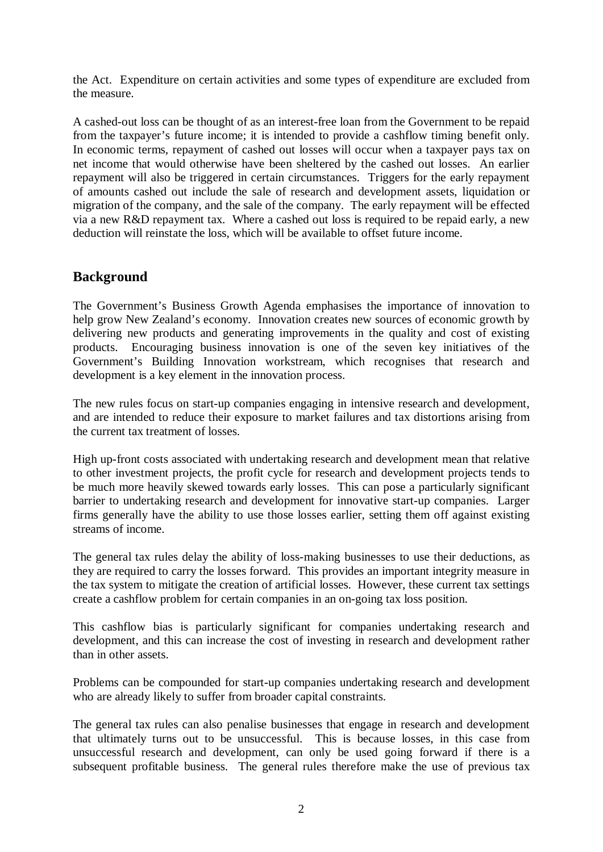the Act. Expenditure on certain activities and some types of expenditure are excluded from the measure.

A cashed-out loss can be thought of as an interest-free loan from the Government to be repaid from the taxpayer's future income; it is intended to provide a cashflow timing benefit only. In economic terms, repayment of cashed out losses will occur when a taxpayer pays tax on net income that would otherwise have been sheltered by the cashed out losses. An earlier repayment will also be triggered in certain circumstances. Triggers for the early repayment of amounts cashed out include the sale of research and development assets, liquidation or migration of the company, and the sale of the company. The early repayment will be effected via a new R&D repayment tax. Where a cashed out loss is required to be repaid early, a new deduction will reinstate the loss, which will be available to offset future income.

## **Background**

The Government's Business Growth Agenda emphasises the importance of innovation to help grow New Zealand's economy. Innovation creates new sources of economic growth by delivering new products and generating improvements in the quality and cost of existing products. Encouraging business innovation is one of the seven key initiatives of the Government's Building Innovation workstream, which recognises that research and development is a key element in the innovation process.

The new rules focus on start-up companies engaging in intensive research and development, and are intended to reduce their exposure to market failures and tax distortions arising from the current tax treatment of losses.

High up-front costs associated with undertaking research and development mean that relative to other investment projects, the profit cycle for research and development projects tends to be much more heavily skewed towards early losses. This can pose a particularly significant barrier to undertaking research and development for innovative start-up companies. Larger firms generally have the ability to use those losses earlier, setting them off against existing streams of income.

The general tax rules delay the ability of loss-making businesses to use their deductions, as they are required to carry the losses forward. This provides an important integrity measure in the tax system to mitigate the creation of artificial losses. However, these current tax settings create a cashflow problem for certain companies in an on-going tax loss position.

This cashflow bias is particularly significant for companies undertaking research and development, and this can increase the cost of investing in research and development rather than in other assets.

Problems can be compounded for start-up companies undertaking research and development who are already likely to suffer from broader capital constraints.

The general tax rules can also penalise businesses that engage in research and development that ultimately turns out to be unsuccessful. This is because losses, in this case from unsuccessful research and development, can only be used going forward if there is a subsequent profitable business. The general rules therefore make the use of previous tax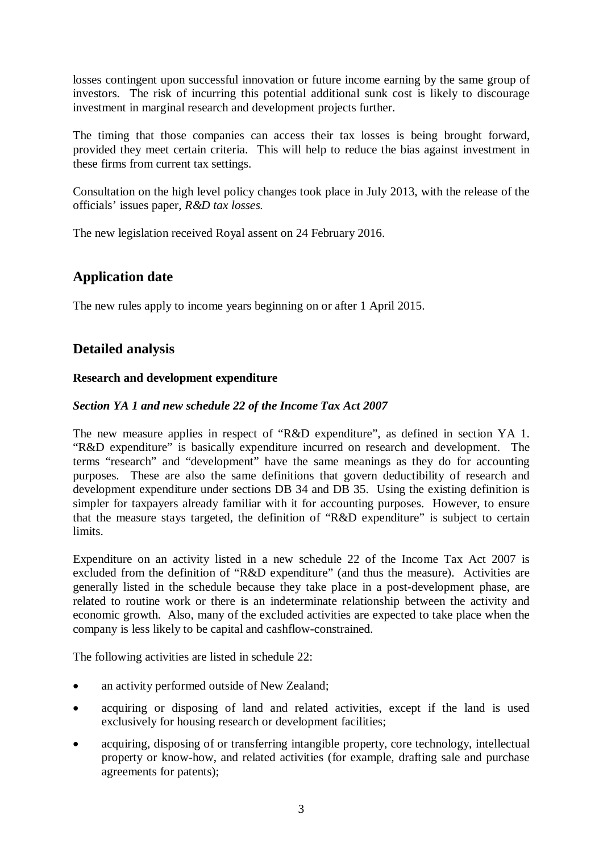losses contingent upon successful innovation or future income earning by the same group of investors. The risk of incurring this potential additional sunk cost is likely to discourage investment in marginal research and development projects further.

The timing that those companies can access their tax losses is being brought forward, provided they meet certain criteria. This will help to reduce the bias against investment in these firms from current tax settings.

Consultation on the high level policy changes took place in July 2013, with the release of the officials' issues paper, *R&D tax losses.*

The new legislation received Royal assent on 24 February 2016.

## **Application date**

The new rules apply to income years beginning on or after 1 April 2015.

## **Detailed analysis**

## **Research and development expenditure**

## *Section YA 1 and new schedule 22 of the Income Tax Act 2007*

The new measure applies in respect of "R&D expenditure", as defined in section YA 1. "R&D expenditure" is basically expenditure incurred on research and development. The terms "research" and "development" have the same meanings as they do for accounting purposes. These are also the same definitions that govern deductibility of research and development expenditure under sections DB 34 and DB 35. Using the existing definition is simpler for taxpayers already familiar with it for accounting purposes. However, to ensure that the measure stays targeted, the definition of "R&D expenditure" is subject to certain limits.

Expenditure on an activity listed in a new schedule 22 of the Income Tax Act 2007 is excluded from the definition of "R&D expenditure" (and thus the measure). Activities are generally listed in the schedule because they take place in a post-development phase, are related to routine work or there is an indeterminate relationship between the activity and economic growth. Also, many of the excluded activities are expected to take place when the company is less likely to be capital and cashflow-constrained.

The following activities are listed in schedule 22:

- an activity performed outside of New Zealand;
- acquiring or disposing of land and related activities, except if the land is used exclusively for housing research or development facilities;
- acquiring, disposing of or transferring intangible property, core technology, intellectual property or know-how, and related activities (for example, drafting sale and purchase agreements for patents);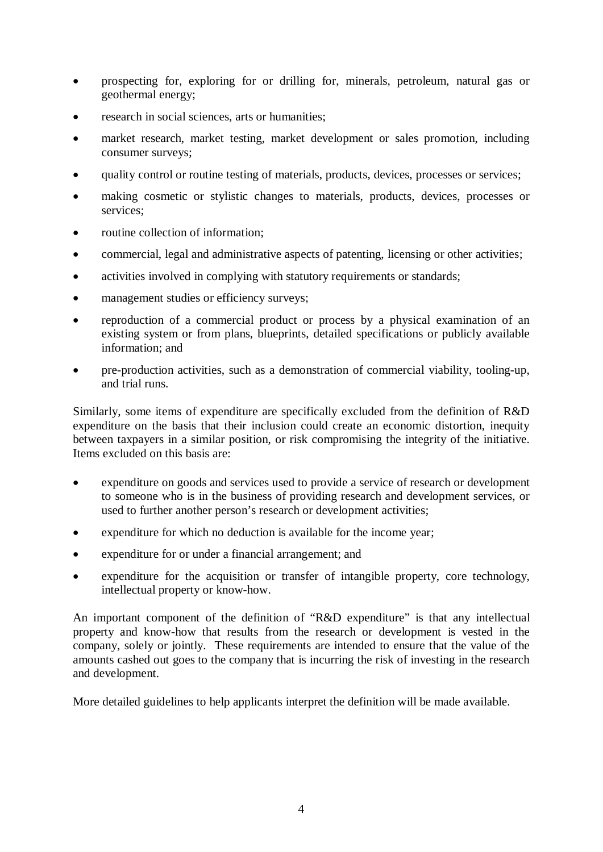- prospecting for, exploring for or drilling for, minerals, petroleum, natural gas or geothermal energy;
- research in social sciences, arts or humanities;
- market research, market testing, market development or sales promotion, including consumer surveys;
- quality control or routine testing of materials, products, devices, processes or services;
- making cosmetic or stylistic changes to materials, products, devices, processes or services;
- routine collection of information:
- commercial, legal and administrative aspects of patenting, licensing or other activities;
- activities involved in complying with statutory requirements or standards;
- management studies or efficiency surveys;
- reproduction of a commercial product or process by a physical examination of an existing system or from plans, blueprints, detailed specifications or publicly available information; and
- pre-production activities, such as a demonstration of commercial viability, tooling-up, and trial runs.

Similarly, some items of expenditure are specifically excluded from the definition of R&D expenditure on the basis that their inclusion could create an economic distortion, inequity between taxpayers in a similar position, or risk compromising the integrity of the initiative. Items excluded on this basis are:

- expenditure on goods and services used to provide a service of research or development to someone who is in the business of providing research and development services, or used to further another person's research or development activities;
- expenditure for which no deduction is available for the income year;
- expenditure for or under a financial arrangement; and
- expenditure for the acquisition or transfer of intangible property, core technology, intellectual property or know-how.

An important component of the definition of "R&D expenditure" is that any intellectual property and know-how that results from the research or development is vested in the company, solely or jointly. These requirements are intended to ensure that the value of the amounts cashed out goes to the company that is incurring the risk of investing in the research and development.

More detailed guidelines to help applicants interpret the definition will be made available.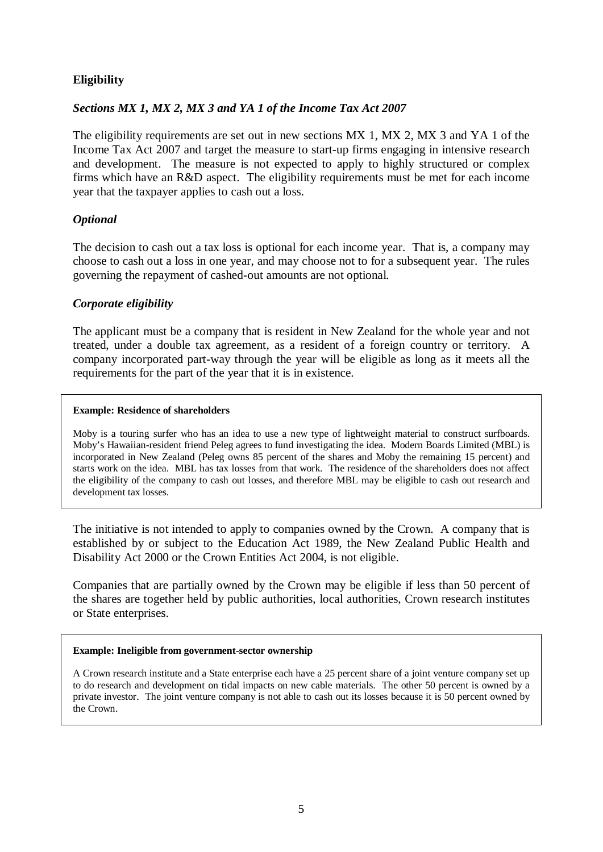## **Eligibility**

## *Sections MX 1, MX 2, MX 3 and YA 1 of the Income Tax Act 2007*

The eligibility requirements are set out in new sections MX 1, MX 2, MX 3 and YA 1 of the Income Tax Act 2007 and target the measure to start-up firms engaging in intensive research and development. The measure is not expected to apply to highly structured or complex firms which have an R&D aspect. The eligibility requirements must be met for each income year that the taxpayer applies to cash out a loss.

## *Optional*

The decision to cash out a tax loss is optional for each income year. That is, a company may choose to cash out a loss in one year, and may choose not to for a subsequent year. The rules governing the repayment of cashed-out amounts are not optional.

### *Corporate eligibility*

The applicant must be a company that is resident in New Zealand for the whole year and not treated, under a double tax agreement, as a resident of a foreign country or territory. A company incorporated part-way through the year will be eligible as long as it meets all the requirements for the part of the year that it is in existence.

#### **Example: Residence of shareholders**

Moby is a touring surfer who has an idea to use a new type of lightweight material to construct surfboards. Moby's Hawaiian-resident friend Peleg agrees to fund investigating the idea. Modern Boards Limited (MBL) is incorporated in New Zealand (Peleg owns 85 percent of the shares and Moby the remaining 15 percent) and starts work on the idea. MBL has tax losses from that work. The residence of the shareholders does not affect the eligibility of the company to cash out losses, and therefore MBL may be eligible to cash out research and development tax losses.

The initiative is not intended to apply to companies owned by the Crown. A company that is established by or subject to the Education Act 1989, the New Zealand Public Health and Disability Act 2000 or the Crown Entities Act 2004, is not eligible.

Companies that are partially owned by the Crown may be eligible if less than 50 percent of the shares are together held by public authorities, local authorities, Crown research institutes or State enterprises.

#### **Example: Ineligible from government-sector ownership**

A Crown research institute and a State enterprise each have a 25 percent share of a joint venture company set up to do research and development on tidal impacts on new cable materials. The other 50 percent is owned by a private investor. The joint venture company is not able to cash out its losses because it is 50 percent owned by the Crown.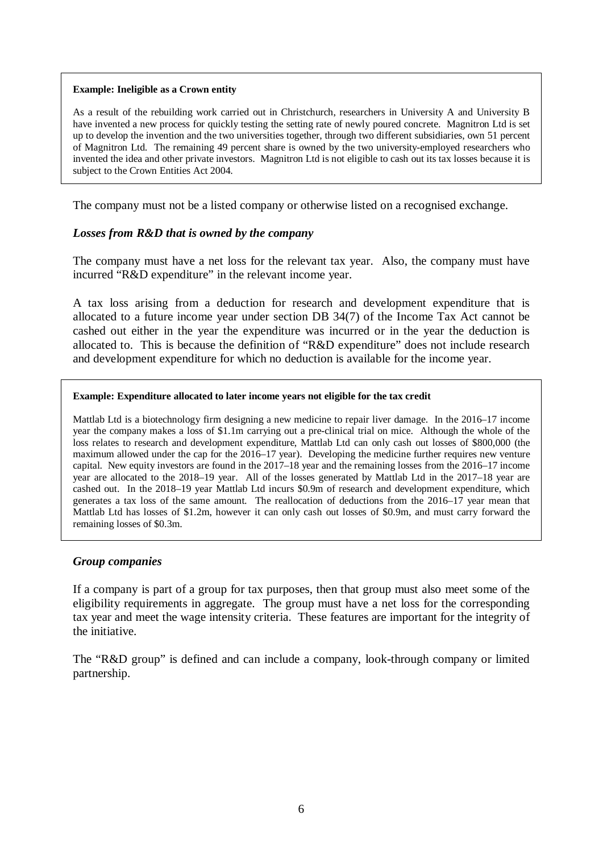#### **Example: Ineligible as a Crown entity**

As a result of the rebuilding work carried out in Christchurch, researchers in University A and University B have invented a new process for quickly testing the setting rate of newly poured concrete. Magnitron Ltd is set up to develop the invention and the two universities together, through two different subsidiaries, own 51 percent of Magnitron Ltd. The remaining 49 percent share is owned by the two university-employed researchers who invented the idea and other private investors. Magnitron Ltd is not eligible to cash out its tax losses because it is subject to the Crown Entities Act 2004.

The company must not be a listed company or otherwise listed on a recognised exchange.

### *Losses from R&D that is owned by the company*

The company must have a net loss for the relevant tax year. Also, the company must have incurred "R&D expenditure" in the relevant income year.

A tax loss arising from a deduction for research and development expenditure that is allocated to a future income year under section DB 34(7) of the Income Tax Act cannot be cashed out either in the year the expenditure was incurred or in the year the deduction is allocated to.This is because the definition of "R&D expenditure" does not include research and development expenditure for which no deduction is available for the income year.

#### **Example: Expenditure allocated to later income years not eligible for the tax credit**

Mattlab Ltd is a biotechnology firm designing a new medicine to repair liver damage. In the 2016–17 income year the company makes a loss of \$1.1m carrying out a pre-clinical trial on mice. Although the whole of the loss relates to research and development expenditure, Mattlab Ltd can only cash out losses of \$800,000 (the maximum allowed under the cap for the 2016–17 year). Developing the medicine further requires new venture capital. New equity investors are found in the 2017–18 year and the remaining losses from the 2016–17 income year are allocated to the 2018–19 year. All of the losses generated by Mattlab Ltd in the 2017–18 year are cashed out. In the 2018–19 year Mattlab Ltd incurs \$0.9m of research and development expenditure, which generates a tax loss of the same amount. The reallocation of deductions from the 2016–17 year mean that Mattlab Ltd has losses of \$1.2m, however it can only cash out losses of \$0.9m, and must carry forward the remaining losses of \$0.3m.

#### *Group companies*

If a company is part of a group for tax purposes, then that group must also meet some of the eligibility requirements in aggregate. The group must have a net loss for the corresponding tax year and meet the wage intensity criteria. These features are important for the integrity of the initiative.

The "R&D group" is defined and can include a company, look-through company or limited partnership.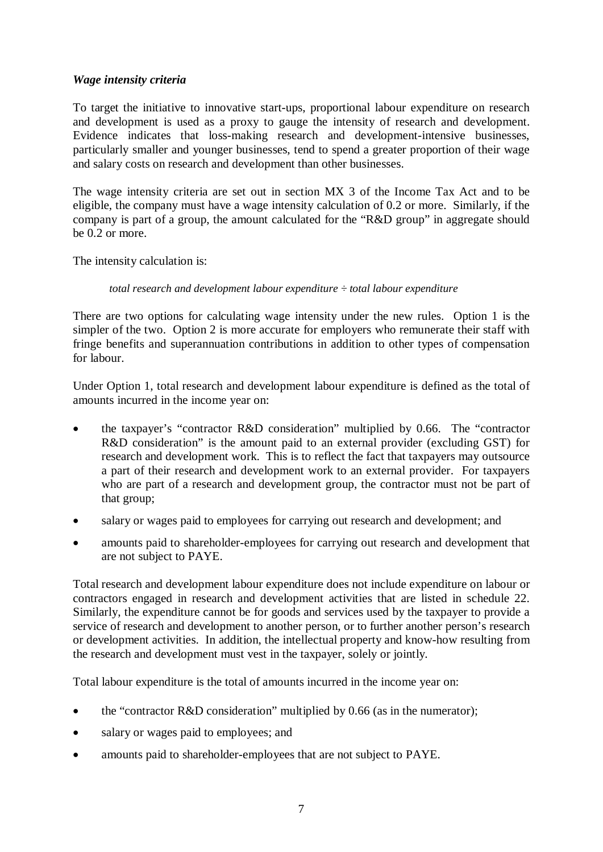## *Wage intensity criteria*

To target the initiative to innovative start-ups, proportional labour expenditure on research and development is used as a proxy to gauge the intensity of research and development. Evidence indicates that loss-making research and development-intensive businesses, particularly smaller and younger businesses, tend to spend a greater proportion of their wage and salary costs on research and development than other businesses.

The wage intensity criteria are set out in section MX 3 of the Income Tax Act and to be eligible, the company must have a wage intensity calculation of 0.2 or more. Similarly, if the company is part of a group, the amount calculated for the "R&D group" in aggregate should be 0.2 or more.

The intensity calculation is:

### *total research and development labour expenditure ÷ total labour expenditure*

There are two options for calculating wage intensity under the new rules. Option 1 is the simpler of the two. Option 2 is more accurate for employers who remunerate their staff with fringe benefits and superannuation contributions in addition to other types of compensation for labour.

Under Option 1, total research and development labour expenditure is defined as the total of amounts incurred in the income year on:

- the taxpayer's "contractor R&D consideration" multiplied by 0.66. The "contractor" R&D consideration" is the amount paid to an external provider (excluding GST) for research and development work. This is to reflect the fact that taxpayers may outsource a part of their research and development work to an external provider. For taxpayers who are part of a research and development group, the contractor must not be part of that group;
- salary or wages paid to employees for carrying out research and development; and
- amounts paid to shareholder-employees for carrying out research and development that are not subject to PAYE.

Total research and development labour expenditure does not include expenditure on labour or contractors engaged in research and development activities that are listed in schedule 22. Similarly, the expenditure cannot be for goods and services used by the taxpayer to provide a service of research and development to another person, or to further another person's research or development activities. In addition, the intellectual property and know-how resulting from the research and development must vest in the taxpayer, solely or jointly.

Total labour expenditure is the total of amounts incurred in the income year on:

- the "contractor R&D consideration" multiplied by 0.66 (as in the numerator);
- salary or wages paid to employees; and
- amounts paid to shareholder-employees that are not subject to PAYE.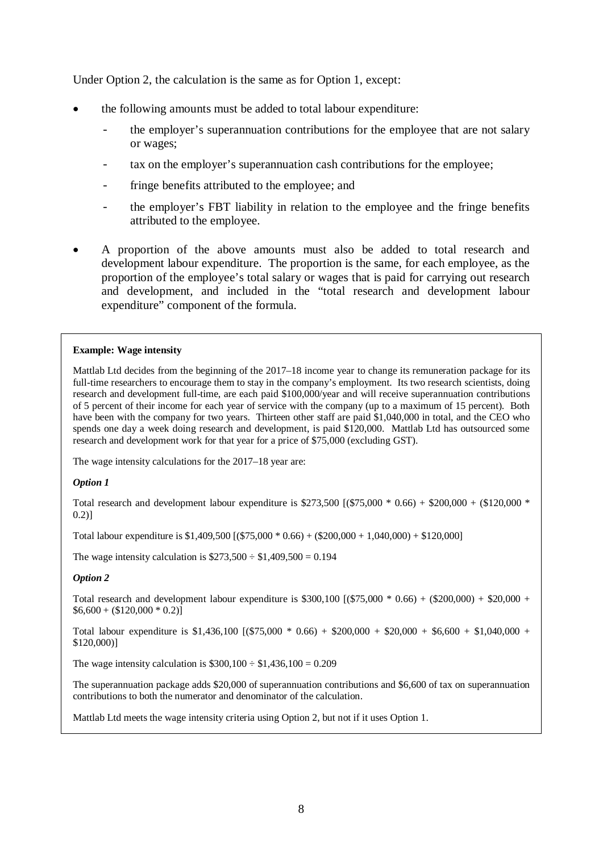Under Option 2, the calculation is the same as for Option 1, except:

- the following amounts must be added to total labour expenditure:
	- the employer's superannuation contributions for the employee that are not salary or wages;
	- tax on the employer's superannuation cash contributions for the employee;
	- fringe benefits attributed to the employee; and
	- the employer's FBT liability in relation to the employee and the fringe benefits attributed to the employee.
- A proportion of the above amounts must also be added to total research and development labour expenditure. The proportion is the same, for each employee, as the proportion of the employee's total salary or wages that is paid for carrying out research and development, and included in the "total research and development labour expenditure" component of the formula.

#### **Example: Wage intensity**

Mattlab Ltd decides from the beginning of the 2017–18 income year to change its remuneration package for its full-time researchers to encourage them to stay in the company's employment. Its two research scientists, doing research and development full-time, are each paid \$100,000/year and will receive superannuation contributions of 5 percent of their income for each year of service with the company (up to a maximum of 15 percent). Both have been with the company for two years. Thirteen other staff are paid \$1,040,000 in total, and the CEO who spends one day a week doing research and development, is paid \$120,000. Mattlab Ltd has outsourced some research and development work for that year for a price of \$75,000 (excluding GST).

The wage intensity calculations for the 2017–18 year are:

#### *Option 1*

Total research and development labour expenditure is \$273,500 [(\$75,000 \* 0.66) + \$200,000 + (\$120,000 \* 0.2)]

Total labour expenditure is \$1,409,500 [(\$75,000 \* 0.66) + (\$200,000 + 1,040,000) + \$120,000]

The wage intensity calculation is  $$273,500 \div $1,409,500 = 0.194$ 

#### *Option 2*

Total research and development labour expenditure is  $$300,100$  [(\$75,000  $*$  0.66) + (\$200,000) + \$20,000 +  $$6,600 + (120,000 * 0.2)]$ 

Total labour expenditure is  $$1,436,100$  [ $$75,000 * 0.66$ ) +  $$20,000 + $20,000 + $6,600 + $1,040,000 + $1,040,000$ \$120,000)]

The wage intensity calculation is  $$300,100 \div $1,436,100 = 0.209$ 

The superannuation package adds \$20,000 of superannuation contributions and \$6,600 of tax on superannuation contributions to both the numerator and denominator of the calculation.

Mattlab Ltd meets the wage intensity criteria using Option 2, but not if it uses Option 1.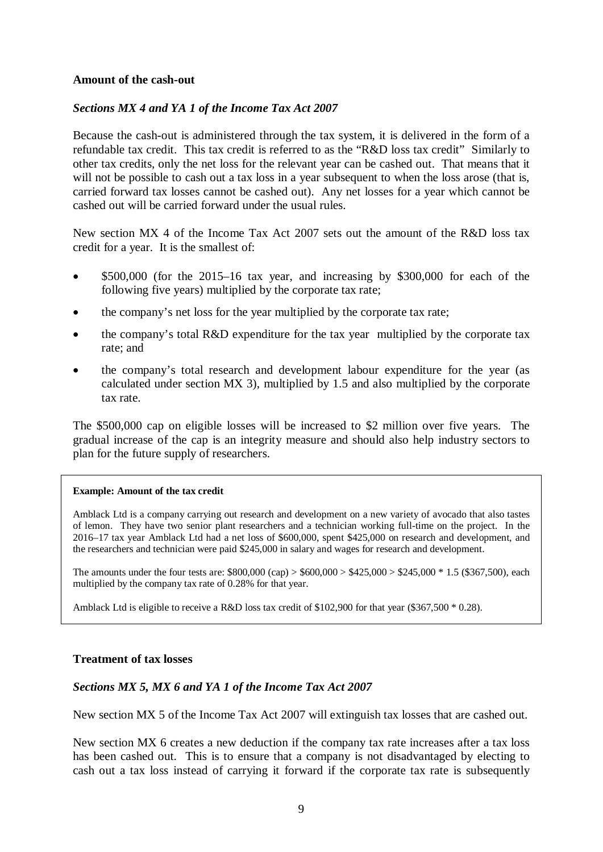#### **Amount of the cash-out**

#### *Sections MX 4 and YA 1 of the Income Tax Act 2007*

Because the cash-out is administered through the tax system, it is delivered in the form of a refundable tax credit. This tax credit is referred to as the "R&D loss tax credit" Similarly to other tax credits, only the net loss for the relevant year can be cashed out. That means that it will not be possible to cash out a tax loss in a year subsequent to when the loss arose (that is, carried forward tax losses cannot be cashed out). Any net losses for a year which cannot be cashed out will be carried forward under the usual rules.

New section MX 4 of the Income Tax Act 2007 sets out the amount of the R&D loss tax credit for a year. It is the smallest of:

- \$500,000 (for the 2015–16 tax year, and increasing by \$300,000 for each of the following five years) multiplied by the corporate tax rate;
- the company's net loss for the year multiplied by the corporate tax rate;
- the company's total R&D expenditure for the tax year multiplied by the corporate tax rate; and
- the company's total research and development labour expenditure for the year (as calculated under section MX 3), multiplied by 1.5 and also multiplied by the corporate tax rate.

The \$500,000 cap on eligible losses will be increased to \$2 million over five years. The gradual increase of the cap is an integrity measure and should also help industry sectors to plan for the future supply of researchers.

#### **Example: Amount of the tax credit**

Amblack Ltd is a company carrying out research and development on a new variety of avocado that also tastes of lemon. They have two senior plant researchers and a technician working full-time on the project. In the 2016–17 tax year Amblack Ltd had a net loss of \$600,000, spent \$425,000 on research and development, and the researchers and technician were paid \$245,000 in salary and wages for research and development.

The amounts under the four tests are:  $$800,000$  (cap) >  $$600,000 > $425,000 > $245,000 * 1.5$  (\$367,500), each multiplied by the company tax rate of 0.28% for that year.

Amblack Ltd is eligible to receive a R&D loss tax credit of \$102,900 for that year (\$367,500  $*$  0.28).

### **Treatment of tax losses**

### *Sections MX 5, MX 6 and YA 1 of the Income Tax Act 2007*

New section MX 5 of the Income Tax Act 2007 will extinguish tax losses that are cashed out.

New section MX 6 creates a new deduction if the company tax rate increases after a tax loss has been cashed out. This is to ensure that a company is not disadvantaged by electing to cash out a tax loss instead of carrying it forward if the corporate tax rate is subsequently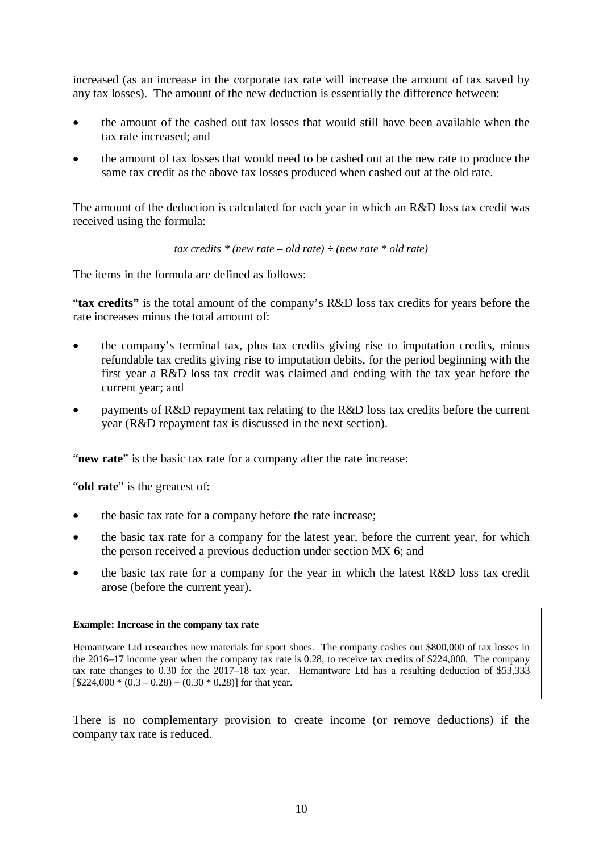increased (as an increase in the corporate tax rate will increase the amount of tax saved by any tax losses). The amount of the new deduction is essentially the difference between:

- the amount of the cashed out tax losses that would still have been available when the tax rate increased; and
- the amount of tax losses that would need to be cashed out at the new rate to produce the same tax credit as the above tax losses produced when cashed out at the old rate.

The amount of the deduction is calculated for each year in which an R&D loss tax credit was received using the formula:

*tax credits \* (new rate – old rate) ÷ (new rate \* old rate)*

The items in the formula are defined as follows:

"**tax credits"** is the total amount of the company's R&D loss tax credits for years before the rate increases minus the total amount of:

- the company's terminal tax, plus tax credits giving rise to imputation credits, minus refundable tax credits giving rise to imputation debits, for the period beginning with the first year a R&D loss tax credit was claimed and ending with the tax year before the current year; and
- payments of R&D repayment tax relating to the R&D loss tax credits before the current year (R&D repayment tax is discussed in the next section).

"**new rate**" is the basic tax rate for a company after the rate increase:

"**old rate**" is the greatest of:

- the basic tax rate for a company before the rate increase:
- the basic tax rate for a company for the latest year, before the current year, for which the person received a previous deduction under section MX 6; and
- the basic tax rate for a company for the year in which the latest R&D loss tax credit arose (before the current year).

#### **Example: Increase in the company tax rate**

Hemantware Ltd researches new materials for sport shoes. The company cashes out \$800,000 of tax losses in the 2016–17 income year when the company tax rate is 0.28, to receive tax credits of \$224,000. The company tax rate changes to 0.30 for the 2017–18 tax year. Hemantware Ltd has a resulting deduction of \$53,333  $[$224,000 * (0.3 - 0.28) - (0.30 * 0.28)]$  for that year.

There is no complementary provision to create income (or remove deductions) if the company tax rate is reduced.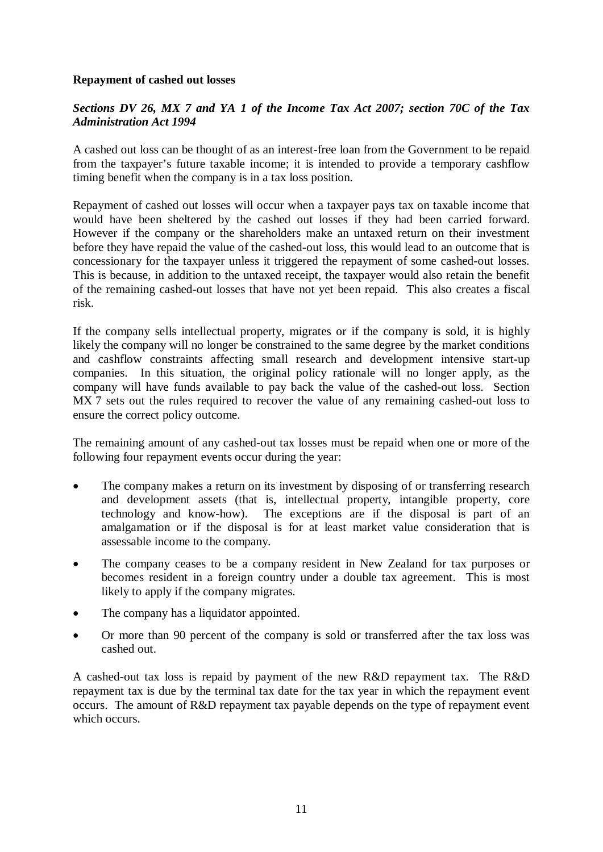## **Repayment of cashed out losses**

## *Sections DV 26, MX 7 and YA 1 of the Income Tax Act 2007; section 70C of the Tax Administration Act 1994*

A cashed out loss can be thought of as an interest-free loan from the Government to be repaid from the taxpayer's future taxable income; it is intended to provide a temporary cashflow timing benefit when the company is in a tax loss position.

Repayment of cashed out losses will occur when a taxpayer pays tax on taxable income that would have been sheltered by the cashed out losses if they had been carried forward. However if the company or the shareholders make an untaxed return on their investment before they have repaid the value of the cashed-out loss, this would lead to an outcome that is concessionary for the taxpayer unless it triggered the repayment of some cashed-out losses. This is because, in addition to the untaxed receipt, the taxpayer would also retain the benefit of the remaining cashed-out losses that have not yet been repaid. This also creates a fiscal risk.

If the company sells intellectual property, migrates or if the company is sold, it is highly likely the company will no longer be constrained to the same degree by the market conditions and cashflow constraints affecting small research and development intensive start-up companies. In this situation, the original policy rationale will no longer apply, as the company will have funds available to pay back the value of the cashed-out loss. Section MX 7 sets out the rules required to recover the value of any remaining cashed-out loss to ensure the correct policy outcome.

The remaining amount of any cashed-out tax losses must be repaid when one or more of the following four repayment events occur during the year:

- The company makes a return on its investment by disposing of or transferring research and development assets (that is, intellectual property, intangible property, core technology and know-how). The exceptions are if the disposal is part of an amalgamation or if the disposal is for at least market value consideration that is assessable income to the company.
- The company ceases to be a company resident in New Zealand for tax purposes or becomes resident in a foreign country under a double tax agreement. This is most likely to apply if the company migrates.
- The company has a liquidator appointed.
- Or more than 90 percent of the company is sold or transferred after the tax loss was cashed out.

A cashed-out tax loss is repaid by payment of the new R&D repayment tax. The R&D repayment tax is due by the terminal tax date for the tax year in which the repayment event occurs. The amount of R&D repayment tax payable depends on the type of repayment event which occurs.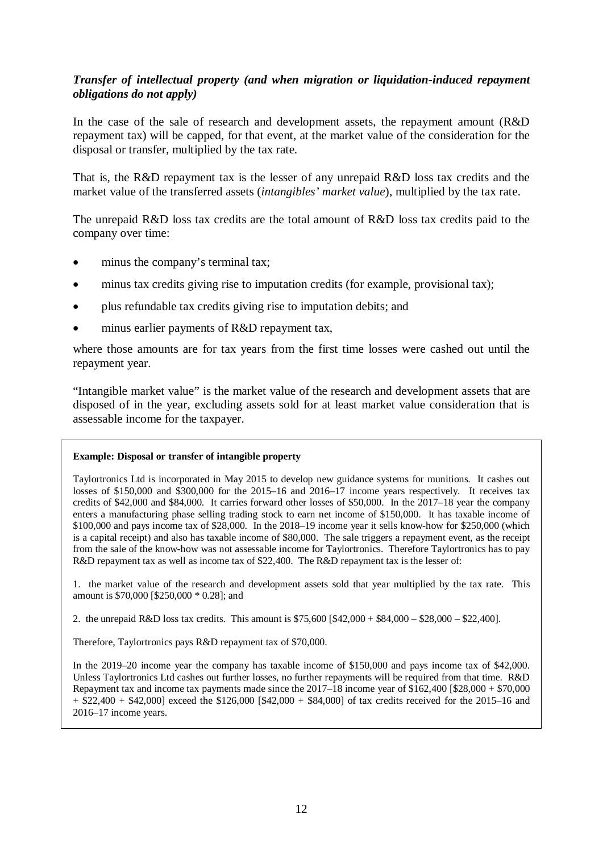## *Transfer of intellectual property (and when migration or liquidation-induced repayment obligations do not apply)*

In the case of the sale of research and development assets, the repayment amount (R&D repayment tax) will be capped, for that event, at the market value of the consideration for the disposal or transfer, multiplied by the tax rate.

That is, the R&D repayment tax is the lesser of any unrepaid R&D loss tax credits and the market value of the transferred assets (*intangibles' market value*), multiplied by the tax rate.

The unrepaid R&D loss tax credits are the total amount of R&D loss tax credits paid to the company over time:

- minus the company's terminal tax;
- minus tax credits giving rise to imputation credits (for example, provisional tax);
- plus refundable tax credits giving rise to imputation debits; and
- minus earlier payments of R&D repayment tax,

where those amounts are for tax years from the first time losses were cashed out until the repayment year.

"Intangible market value" is the market value of the research and development assets that are disposed of in the year, excluding assets sold for at least market value consideration that is assessable income for the taxpayer.

#### **Example: Disposal or transfer of intangible property**

Taylortronics Ltd is incorporated in May 2015 to develop new guidance systems for munitions. It cashes out losses of \$150,000 and \$300,000 for the 2015–16 and 2016–17 income years respectively. It receives tax credits of \$42,000 and \$84,000. It carries forward other losses of \$50,000. In the 2017–18 year the company enters a manufacturing phase selling trading stock to earn net income of \$150,000. It has taxable income of \$100,000 and pays income tax of \$28,000. In the 2018–19 income year it sells know-how for \$250,000 (which is a capital receipt) and also has taxable income of \$80,000. The sale triggers a repayment event, as the receipt from the sale of the know-how was not assessable income for Taylortronics. Therefore Taylortronics has to pay R&D repayment tax as well as income tax of \$22,400. The R&D repayment tax is the lesser of:

1. the market value of the research and development assets sold that year multiplied by the tax rate. This amount is \$70,000 [\$250,000 \* 0.28]; and

2. the unrepaid R&D loss tax credits. This amount is \$75,600 [\$42,000 + \$84,000 – \$28,000 – \$22,400].

Therefore, Taylortronics pays R&D repayment tax of \$70,000.

In the 2019–20 income year the company has taxable income of \$150,000 and pays income tax of \$42,000. Unless Taylortronics Ltd cashes out further losses, no further repayments will be required from that time. R&D Repayment tax and income tax payments made since the 2017–18 income year of \$162,400 [\$28,000 + \$70,000  $+ $22,400 + $42,000]$  exceed the \$126,000 [\$42,000 + \$84,000] of tax credits received for the 2015–16 and 2016–17 income years.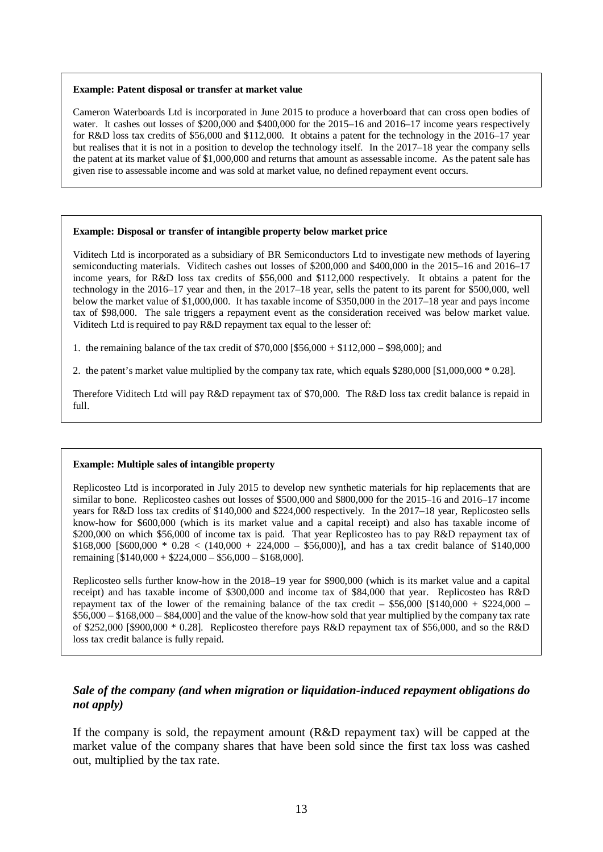#### **Example: Patent disposal or transfer at market value**

Cameron Waterboards Ltd is incorporated in June 2015 to produce a hoverboard that can cross open bodies of water. It cashes out losses of \$200,000 and \$400,000 for the 2015–16 and 2016–17 income years respectively for R&D loss tax credits of \$56,000 and \$112,000. It obtains a patent for the technology in the 2016–17 year but realises that it is not in a position to develop the technology itself. In the 2017–18 year the company sells the patent at its market value of \$1,000,000 and returns that amount as assessable income. As the patent sale has given rise to assessable income and was sold at market value, no defined repayment event occurs.

#### **Example: Disposal or transfer of intangible property below market price**

Viditech Ltd is incorporated as a subsidiary of BR Semiconductors Ltd to investigate new methods of layering semiconducting materials. Viditech cashes out losses of \$200,000 and \$400,000 in the 2015–16 and 2016–17 income years, for R&D loss tax credits of \$56,000 and \$112,000 respectively. It obtains a patent for the technology in the 2016–17 year and then, in the 2017–18 year, sells the patent to its parent for \$500,000, well below the market value of \$1,000,000. It has taxable income of \$350,000 in the 2017–18 year and pays income tax of \$98,000. The sale triggers a repayment event as the consideration received was below market value. Viditech Ltd is required to pay R&D repayment tax equal to the lesser of:

1. the remaining balance of the tax credit of \$70,000 [\$56,000 + \$112,000 – \$98,000]; and

2. the patent's market value multiplied by the company tax rate, which equals \$280,000 [\$1,000,000 \* 0.28].

Therefore Viditech Ltd will pay R&D repayment tax of \$70,000. The R&D loss tax credit balance is repaid in full.

#### **Example: Multiple sales of intangible property**

Replicosteo Ltd is incorporated in July 2015 to develop new synthetic materials for hip replacements that are similar to bone. Replicosteo cashes out losses of \$500,000 and \$800,000 for the 2015–16 and 2016–17 income years for R&D loss tax credits of \$140,000 and \$224,000 respectively. In the 2017–18 year, Replicosteo sells know-how for \$600,000 (which is its market value and a capital receipt) and also has taxable income of \$200,000 on which \$56,000 of income tax is paid. That year Replicosteo has to pay R&D repayment tax of  $$168,000$  [\$600,000 \* 0.28 < (140,000 + 224,000 - \$56,000)], and has a tax credit balance of \$140,000 remaining [\$140,000 + \$224,000 – \$56,000 – \$168,000].

Replicosteo sells further know-how in the 2018–19 year for \$900,000 (which is its market value and a capital receipt) and has taxable income of \$300,000 and income tax of \$84,000 that year. Replicosteo has R&D repayment tax of the lower of the remaining balance of the tax credit –  $$56,000$  [\$140,000 + \$224,000 – \$56,000 – \$168,000 – \$84,000] and the value of the know-how sold that year multiplied by the company tax rate of \$252,000 [\$900,000 \* 0.28]. Replicosteo therefore pays R&D repayment tax of \$56,000, and so the R&D loss tax credit balance is fully repaid.

### *Sale of the company (and when migration or liquidation-induced repayment obligations do not apply)*

If the company is sold, the repayment amount (R&D repayment tax) will be capped at the market value of the company shares that have been sold since the first tax loss was cashed out, multiplied by the tax rate.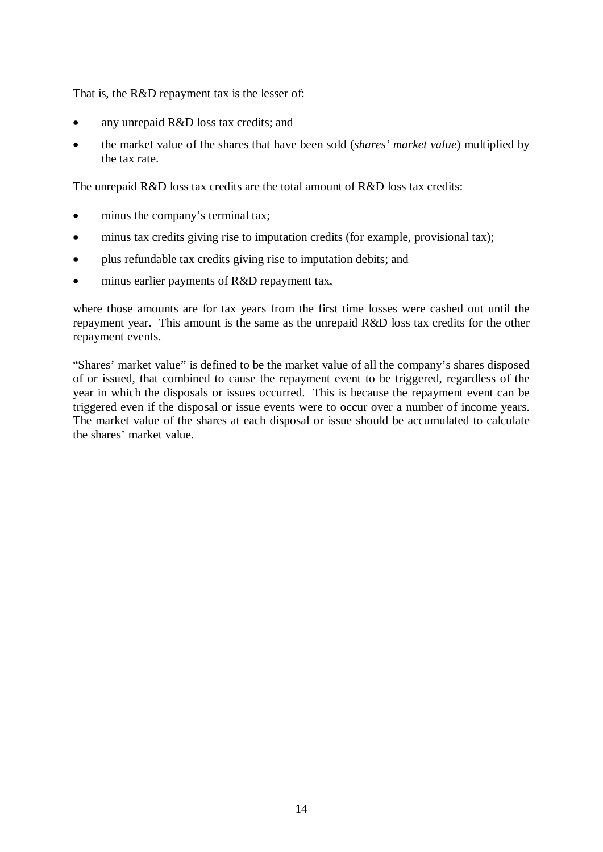That is, the R&D repayment tax is the lesser of:

- any unrepaid R&D loss tax credits; and
- the market value of the shares that have been sold (*shares' market value*) multiplied by the tax rate.

The unrepaid R&D loss tax credits are the total amount of R&D loss tax credits:

- minus the company's terminal tax;
- minus tax credits giving rise to imputation credits (for example, provisional tax);
- plus refundable tax credits giving rise to imputation debits; and
- minus earlier payments of R&D repayment tax,

where those amounts are for tax years from the first time losses were cashed out until the repayment year. This amount is the same as the unrepaid R&D loss tax credits for the other repayment events.

"Shares' market value" is defined to be the market value of all the company's shares disposed of or issued, that combined to cause the repayment event to be triggered, regardless of the year in which the disposals or issues occurred. This is because the repayment event can be triggered even if the disposal or issue events were to occur over a number of income years. The market value of the shares at each disposal or issue should be accumulated to calculate the shares' market value.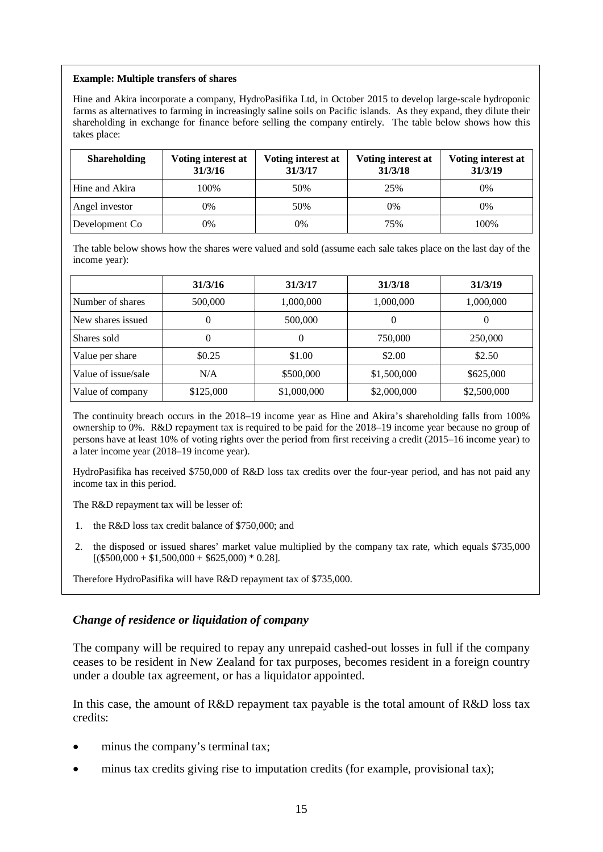#### **Example: Multiple transfers of shares**

Hine and Akira incorporate a company, HydroPasifika Ltd, in October 2015 to develop large-scale hydroponic farms as alternatives to farming in increasingly saline soils on Pacific islands. As they expand, they dilute their shareholding in exchange for finance before selling the company entirely. The table below shows how this takes place:

| <b>Shareholding</b> | Voting interest at<br>31/3/16 | Voting interest at<br>31/3/17 | Voting interest at<br>31/3/18 | Voting interest at<br>31/3/19 |
|---------------------|-------------------------------|-------------------------------|-------------------------------|-------------------------------|
| Hine and Akira      | 100%                          | 50%                           | 25%                           | 0%                            |
| Angel investor      | 0%                            | 50%                           | 0%                            | 0%                            |
| Development Co      | 0%                            | 0%                            | 75%                           | 100%                          |

The table below shows how the shares were valued and sold (assume each sale takes place on the last day of the income year):

|                     | 31/3/16   | 31/3/17     | 31/3/18     | 31/3/19     |
|---------------------|-----------|-------------|-------------|-------------|
| Number of shares    | 500,000   | 1,000,000   | 1,000,000   | 1,000,000   |
| New shares issued   | 0         | 500,000     |             |             |
| Shares sold         | 0         |             | 750,000     | 250,000     |
| Value per share     | \$0.25    | \$1.00      | \$2.00      | \$2.50      |
| Value of issue/sale | N/A       | \$500,000   | \$1,500,000 | \$625,000   |
| Value of company    | \$125,000 | \$1,000,000 | \$2,000,000 | \$2,500,000 |

The continuity breach occurs in the 2018–19 income year as Hine and Akira's shareholding falls from 100% ownership to 0%. R&D repayment tax is required to be paid for the 2018–19 income year because no group of persons have at least 10% of voting rights over the period from first receiving a credit (2015–16 income year) to a later income year (2018–19 income year).

HydroPasifika has received \$750,000 of R&D loss tax credits over the four-year period, and has not paid any income tax in this period.

The R&D repayment tax will be lesser of:

- the R&D loss tax credit balance of \$750,000; and
- 2. the disposed or issued shares' market value multiplied by the company tax rate, which equals \$735,000  $[(\$500,000 + \$1,500,000 + \$625,000) * 0.28]$ .

Therefore HydroPasifika will have R&D repayment tax of \$735,000.

### *Change of residence or liquidation of company*

The company will be required to repay any unrepaid cashed-out losses in full if the company ceases to be resident in New Zealand for tax purposes, becomes resident in a foreign country under a double tax agreement, or has a liquidator appointed.

In this case, the amount of R&D repayment tax payable is the total amount of R&D loss tax credits:

- minus the company's terminal tax;
- minus tax credits giving rise to imputation credits (for example, provisional tax);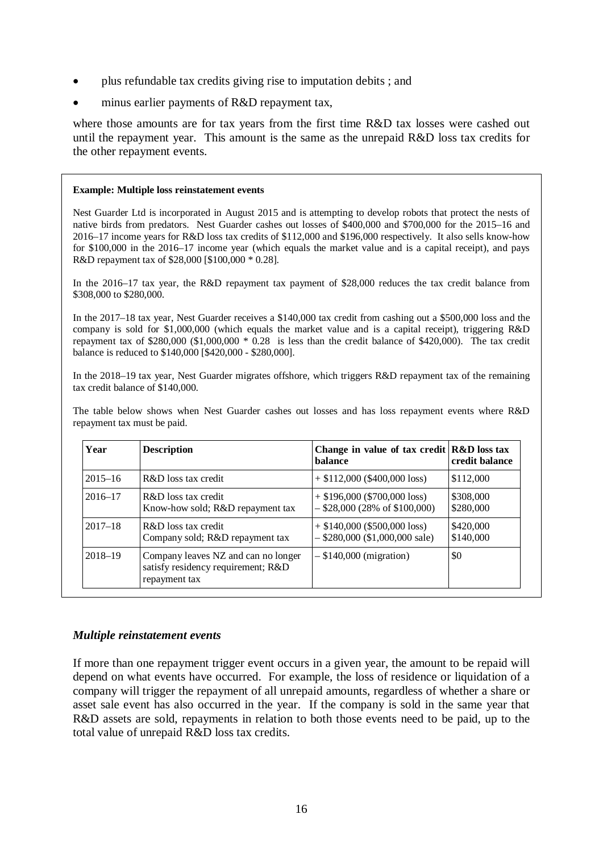- plus refundable tax credits giving rise to imputation debits ; and
- minus earlier payments of R&D repayment tax,

where those amounts are for tax years from the first time R&D tax losses were cashed out until the repayment year. This amount is the same as the unrepaid R&D loss tax credits for the other repayment events.

#### **Example: Multiple loss reinstatement events**

Nest Guarder Ltd is incorporated in August 2015 and is attempting to develop robots that protect the nests of native birds from predators. Nest Guarder cashes out losses of \$400,000 and \$700,000 for the 2015–16 and 2016–17 income years for R&D loss tax credits of \$112,000 and \$196,000 respectively. It also sells know-how for \$100,000 in the 2016–17 income year (which equals the market value and is a capital receipt), and pays R&D repayment tax of \$28,000 [\$100,000 \* 0.28].

In the 2016–17 tax year, the R&D repayment tax payment of \$28,000 reduces the tax credit balance from \$308,000 to \$280,000.

In the 2017–18 tax year, Nest Guarder receives a \$140,000 tax credit from cashing out a \$500,000 loss and the company is sold for \$1,000,000 (which equals the market value and is a capital receipt), triggering R&D repayment tax of \$280,000 (\$1,000,000 \* 0.28 is less than the credit balance of \$420,000). The tax credit balance is reduced to \$140,000 [\$420,000 - \$280,000].

In the 2018–19 tax year, Nest Guarder migrates offshore, which triggers R&D repayment tax of the remaining tax credit balance of \$140,000.

The table below shows when Nest Guarder cashes out losses and has loss repayment events where R&D repayment tax must be paid.

| Year        | <b>Description</b>                                                                         | Change in value of tax credit $\mathbf{R\&D}$ loss tax<br><b>balance</b> | credit balance         |
|-------------|--------------------------------------------------------------------------------------------|--------------------------------------------------------------------------|------------------------|
| $2015 - 16$ | R&D loss tax credit                                                                        | $+$ \$112,000 (\$400,000 loss)                                           | \$112,000              |
| $2016 - 17$ | R&D loss tax credit<br>Know-how sold; R&D repayment tax                                    | $+$ \$196,000 (\$700,000 loss)<br>$-$ \$28,000 (28% of \$100,000)        | \$308,000<br>\$280,000 |
| $2017 - 18$ | R&D loss tax credit<br>Company sold; R&D repayment tax                                     | $+$ \$140,000 (\$500,000 loss)<br>$-$ \$280,000 (\$1,000,000 sale)       | \$420,000<br>\$140,000 |
| $2018 - 19$ | Company leaves NZ and can no longer<br>satisfy residency requirement; R&D<br>repayment tax | $-$ \$140,000 (migration)                                                | \$0                    |

### *Multiple reinstatement events*

If more than one repayment trigger event occurs in a given year, the amount to be repaid will depend on what events have occurred. For example, the loss of residence or liquidation of a company will trigger the repayment of all unrepaid amounts, regardless of whether a share or asset sale event has also occurred in the year. If the company is sold in the same year that R&D assets are sold, repayments in relation to both those events need to be paid, up to the total value of unrepaid R&D loss tax credits.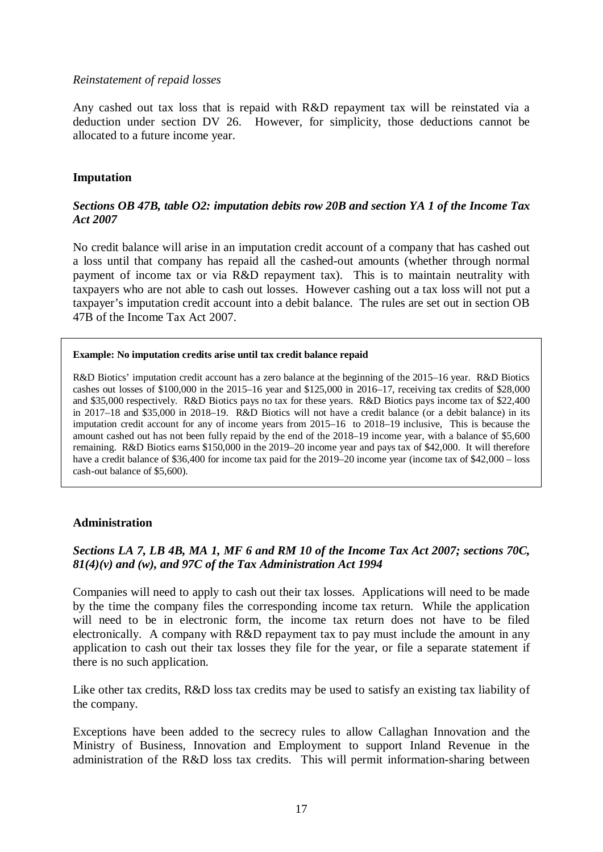#### *Reinstatement of repaid losses*

Any cashed out tax loss that is repaid with R&D repayment tax will be reinstated via a deduction under section DV 26. However, for simplicity, those deductions cannot be allocated to a future income year.

### **Imputation**

## *Sections OB 47B, table O2: imputation debits row 20B and section YA 1 of the Income Tax Act 2007*

No credit balance will arise in an imputation credit account of a company that has cashed out a loss until that company has repaid all the cashed-out amounts (whether through normal payment of income tax or via R&D repayment tax). This is to maintain neutrality with taxpayers who are not able to cash out losses. However cashing out a tax loss will not put a taxpayer's imputation credit account into a debit balance. The rules are set out in section OB 47B of the Income Tax Act 2007.

#### **Example: No imputation credits arise until tax credit balance repaid**

R&D Biotics' imputation credit account has a zero balance at the beginning of the 2015–16 year. R&D Biotics cashes out losses of  $$100,000$  in the 2015–16 year and  $$125,000$  in 2016–17, receiving tax credits of  $$28,000$ and \$35,000 respectively. R&D Biotics pays no tax for these years. R&D Biotics pays income tax of \$22,400 in 2017–18 and \$35,000 in 2018–19. R&D Biotics will not have a credit balance (or a debit balance) in its imputation credit account for any of income years from 2015–16 to 2018–19 inclusive, This is because the amount cashed out has not been fully repaid by the end of the 2018–19 income year, with a balance of \$5,600 remaining. R&D Biotics earns \$150,000 in the 2019–20 income year and pays tax of \$42,000. It will therefore have a credit balance of \$36,400 for income tax paid for the 2019–20 income year (income tax of \$42,000 – loss cash-out balance of \$5,600).

### **Administration**

## *Sections LA 7, LB 4B, MA 1, MF 6 and RM 10 of the Income Tax Act 2007; sections 70C, 81(4)(v) and (w), and 97C of the Tax Administration Act 1994*

Companies will need to apply to cash out their tax losses. Applications will need to be made by the time the company files the corresponding income tax return. While the application will need to be in electronic form, the income tax return does not have to be filed electronically. A company with R&D repayment tax to pay must include the amount in any application to cash out their tax losses they file for the year, or file a separate statement if there is no such application.

Like other tax credits, R&D loss tax credits may be used to satisfy an existing tax liability of the company.

Exceptions have been added to the secrecy rules to allow Callaghan Innovation and the Ministry of Business, Innovation and Employment to support Inland Revenue in the administration of the R&D loss tax credits. This will permit information-sharing between